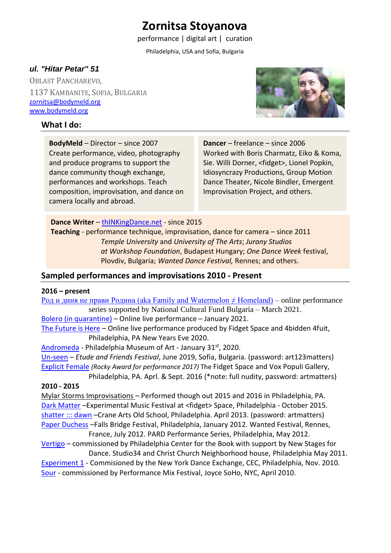# **Zornitsa Stoyanova**

performance | digital art | curation

Philadelphia, USA and Sofia, Bulgaria

### *ul. "Hitar Petar" 51*

OBLAST PANCHAREVO, 1137 KAMBANITE, SOFIA, BULGARIA [zornitsa@bodymeld.org](mailto:zornitsa@bodymeld.org) [www.bodymeld.org](http://www.bodymeld.org/)

#### **What I do:**



**BodyMeld** – Director – since 2007 Create performance, video, photography and produce programs to support the dance community though exchange, performances and workshops. Teach composition, improvisation, and dance on camera locally and abroad.

**Dancer** – freelance – since 2006 Worked with Boris Charmatz, Eiko & Koma, Sie. Willi Dorner, <fidget>, Lionel Popkin, Idiosyncrazy Productions, Group Motion Dance Theater, Nicole Bindler, Emergent Improvisation Project, and others.

#### **Dance Writer** – [thINKingDance.net](https://www.thinkingdance.net/articles/author/Zornitsa-Stoyanova/) - since 2015

**Teaching** - performance technique, improvisation, dance for camera – since 2011 *Temple University* and *University of The Arts*; *Jurany Studios at Workshop Foundation*, Budapest Hungary; *One Dance Week* festival, Plovdiv, Bulgaria; *Wanted Dance Festival,* Rennes; and others.

#### **Sampled performances and improvisations 2010 - Present**

#### **2016 – present**

Род и диня не прави Родина (aka Family and Watermelon  $\neq$  Homeland) – online performance series supported by National Cultural Fund Bulgaria – March 2021. [Bolero \(in quarantine\)](https://www.youtube.com/watch?v=cUidWnRJolo) - Online live performance - January 2021.

[The Future is Here](https://vimeo.com/493523481) - Online live performance produced by Fidget Space and 4bidden 4fuit, Philadelphia, PA New Years Eve 2020.

[Andromeda](https://vimeo.com/393010082) - Philadelphia Museum of Art - January 31<sup>st</sup>, 2020.

[Un-seen](https://vimeo.com/346344990) – *Etude and Friends Festival*, June 2019, Sofia, Bulgaria. (password: art123matters) [Explicit Female](https://vimeo.com/199202000) *(Rocky Award for performance 2017)* The Fidget Space and Vox Populi Gallery, Philadelphia, PA. Aprl. & Sept. 2016 (\*note: full nudity, password: artmatters)

## **2010 - 2015**

Mylar Storms Improvisations – Performed though out 2015 and 2016 in Philadelphia, PA. [Dark Matter](https://vimeo.com/141945100) - Experimental Music Festival at <fidget> Space, Philadelphia - October 2015. [shatter ::: dawn](https://vimeo.com/120126128) –Crane Arts Old School, Philadelphia. April 2013. (password: artmatters) [Paper Duchess](https://www.youtube.com/watch?v=pBpYe_aT12c) -Falls Bridge Festival, Philadelphia, January 2012. Wanted Festival, Rennes, France, July 2012. PARD Performance Series, Philadelphia, May 2012.

[Vertigo](https://www.youtube.com/watch?v=VCSqtPZuJI8) – commissioned by Philadelphia Center for the Book with support by New Stages for Dance. Studio34 and Christ Church Neighborhood house, Philadelphia May 2011.

[Experiment 1](https://www.youtube.com/watch?v=vHChXQwmY7Y) - Commisioned by the New York Dance Exchange, CEC, Philadelphia, Nov. 2010. [Sour](https://www.youtube.com/watch?v=XOtr16L9XrQ) - commissioned by Performance Mix Festival, Joyce SoHo, NYC, April 2010.